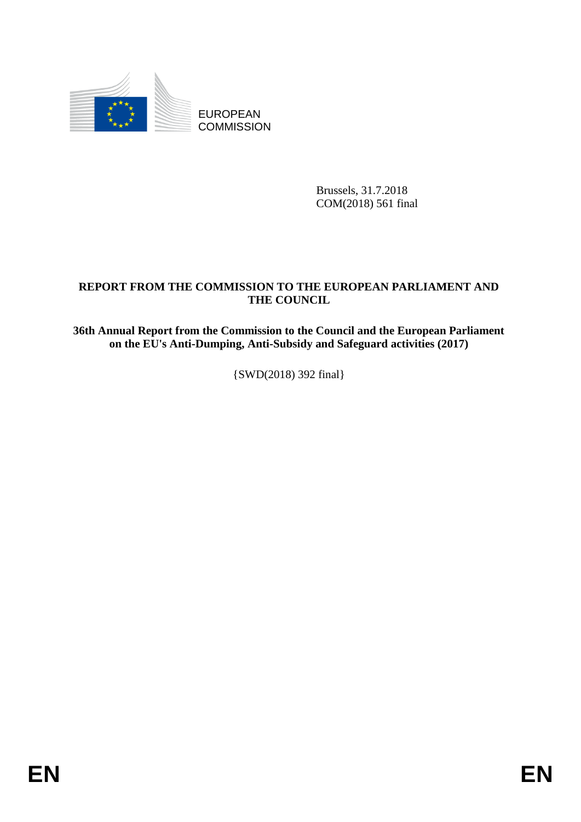

EUROPEAN **COMMISSION** 

> Brussels, 31.7.2018 COM(2018) 561 final

# **REPORT FROM THE COMMISSION TO THE EUROPEAN PARLIAMENT AND THE COUNCIL**

**36th Annual Report from the Commission to the Council and the European Parliament on the EU's Anti-Dumping, Anti-Subsidy and Safeguard activities (2017)**

{SWD(2018) 392 final}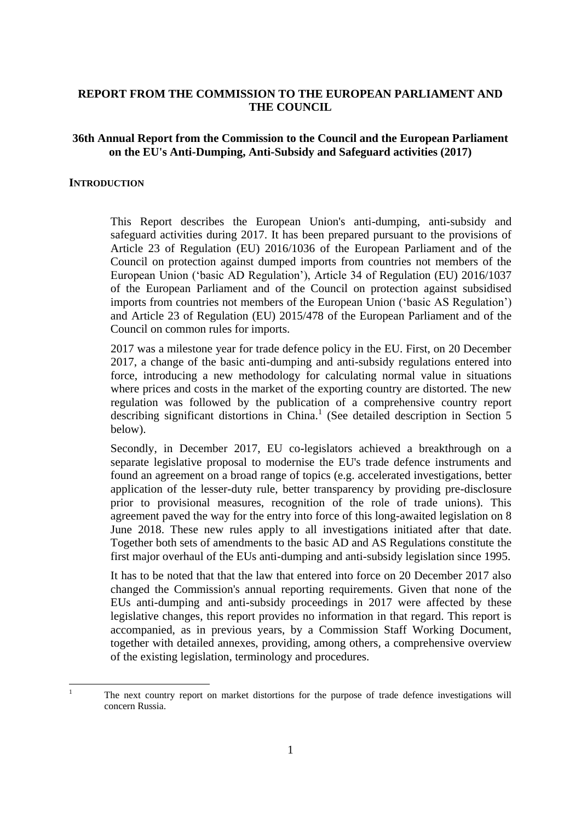### **REPORT FROM THE COMMISSION TO THE EUROPEAN PARLIAMENT AND THE COUNCIL**

### **36th Annual Report from the Commission to the Council and the European Parliament on the EU's Anti-Dumping, Anti-Subsidy and Safeguard activities (2017)**

#### **INTRODUCTION**

This Report describes the European Union's anti-dumping, anti-subsidy and safeguard activities during 2017. It has been prepared pursuant to the provisions of Article 23 of Regulation (EU) 2016/1036 of the European Parliament and of the Council on protection against dumped imports from countries not members of the European Union ('basic AD Regulation'), Article 34 of Regulation (EU) 2016/1037 of the European Parliament and of the Council on protection against subsidised imports from countries not members of the European Union ('basic AS Regulation') and Article 23 of Regulation (EU) 2015/478 of the European Parliament and of the Council on common rules for imports.

2017 was a milestone year for trade defence policy in the EU. First, on 20 December 2017, a change of the basic anti-dumping and anti-subsidy regulations entered into force, introducing a new methodology for calculating normal value in situations where prices and costs in the market of the exporting country are distorted. The new regulation was followed by the publication of a comprehensive country report describing significant distortions in China. 1 (See detailed description in Section 5 below).

Secondly, in December 2017, EU co-legislators achieved a breakthrough on a separate legislative proposal to modernise the EU's trade defence instruments and found an agreement on a broad range of topics (e.g. accelerated investigations, better application of the lesser-duty rule, better transparency by providing pre-disclosure prior to provisional measures, recognition of the role of trade unions). This agreement paved the way for the entry into force of this long-awaited legislation on 8 June 2018. These new rules apply to all investigations initiated after that date. Together both sets of amendments to the basic AD and AS Regulations constitute the first major overhaul of the EUs anti-dumping and anti-subsidy legislation since 1995.

It has to be noted that that the law that entered into force on 20 December 2017 also changed the Commission's annual reporting requirements. Given that none of the EUs anti-dumping and anti-subsidy proceedings in 2017 were affected by these legislative changes, this report provides no information in that regard. This report is accompanied, as in previous years, by a Commission Staff Working Document, together with detailed annexes, providing, among others, a comprehensive overview of the existing legislation, terminology and procedures.

 $\mathbf{1}$ <sup>1</sup> The next country report on market distortions for the purpose of trade defence investigations will concern Russia.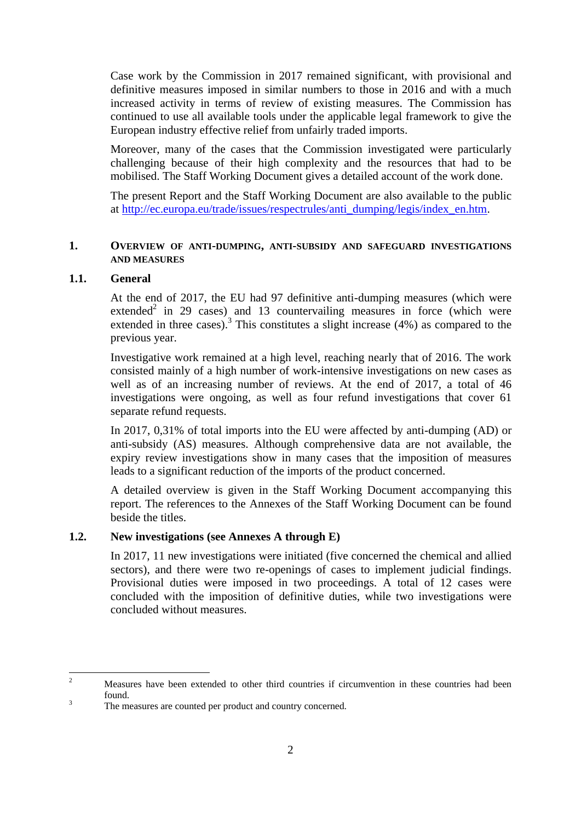Case work by the Commission in 2017 remained significant, with provisional and definitive measures imposed in similar numbers to those in 2016 and with a much increased activity in terms of review of existing measures. The Commission has continued to use all available tools under the applicable legal framework to give the European industry effective relief from unfairly traded imports.

Moreover, many of the cases that the Commission investigated were particularly challenging because of their high complexity and the resources that had to be mobilised. The Staff Working Document gives a detailed account of the work done.

The present Report and the Staff Working Document are also available to the public at http://ec.europa.eu/trade/issues/respectrules/anti\_dumping/legis/index\_en.htm.

#### **1. OVERVIEW OF ANTI-DUMPING, ANTI-SUBSIDY AND SAFEGUARD INVESTIGATIONS AND MEASURES**

### **1.1. General**

At the end of 2017, the EU had 97 definitive anti-dumping measures (which were extended<sup>2</sup> in 29 cases) and 13 countervailing measures in force (which were extended in three cases).<sup>3</sup> This constitutes a slight increase  $(4%)$  as compared to the previous year.

Investigative work remained at a high level, reaching nearly that of 2016. The work consisted mainly of a high number of work-intensive investigations on new cases as well as of an increasing number of reviews. At the end of 2017, a total of 46 investigations were ongoing, as well as four refund investigations that cover 61 separate refund requests.

In 2017, 0,31% of total imports into the EU were affected by anti-dumping (AD) or anti-subsidy (AS) measures. Although comprehensive data are not available, the expiry review investigations show in many cases that the imposition of measures leads to a significant reduction of the imports of the product concerned.

A detailed overview is given in the Staff Working Document accompanying this report. The references to the Annexes of the Staff Working Document can be found beside the titles.

### **1.2. New investigations (see Annexes A through E)**

In 2017, 11 new investigations were initiated (five concerned the chemical and allied sectors), and there were two re-openings of cases to implement judicial findings. Provisional duties were imposed in two proceedings. A total of 12 cases were concluded with the imposition of definitive duties, while two investigations were concluded without measures.

 $\overline{\phantom{a}}$ <sup>2</sup> Measures have been extended to other third countries if circumvention in these countries had been found.

<sup>&</sup>lt;sup>3</sup> The measures are counted per product and country concerned.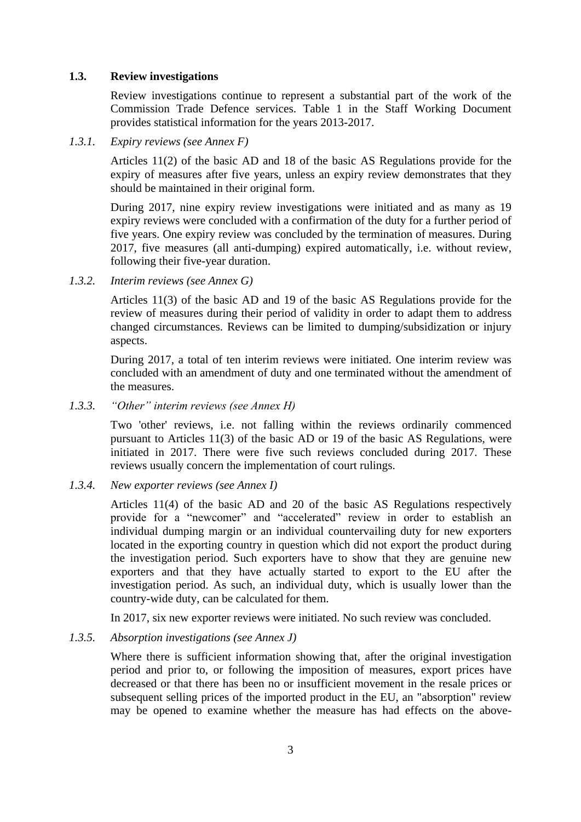### **1.3. Review investigations**

Review investigations continue to represent a substantial part of the work of the Commission Trade Defence services. Table 1 in the Staff Working Document provides statistical information for the years 2013-2017.

*1.3.1. Expiry reviews (see Annex F)*

Articles 11(2) of the basic AD and 18 of the basic AS Regulations provide for the expiry of measures after five years, unless an expiry review demonstrates that they should be maintained in their original form.

During 2017, nine expiry review investigations were initiated and as many as 19 expiry reviews were concluded with a confirmation of the duty for a further period of five years. One expiry review was concluded by the termination of measures. During 2017, five measures (all anti-dumping) expired automatically, i.e. without review, following their five-year duration.

*1.3.2. Interim reviews (see Annex G)*

Articles 11(3) of the basic AD and 19 of the basic AS Regulations provide for the review of measures during their period of validity in order to adapt them to address changed circumstances. Reviews can be limited to dumping/subsidization or injury aspects.

During 2017, a total of ten interim reviews were initiated. One interim review was concluded with an amendment of duty and one terminated without the amendment of the measures.

*1.3.3. "Other" interim reviews (see Annex H)*

Two 'other' reviews, i.e. not falling within the reviews ordinarily commenced pursuant to Articles 11(3) of the basic AD or 19 of the basic AS Regulations, were initiated in 2017. There were five such reviews concluded during 2017. These reviews usually concern the implementation of court rulings.

*1.3.4. New exporter reviews (see Annex I)*

Articles 11(4) of the basic AD and 20 of the basic AS Regulations respectively provide for a "newcomer" and "accelerated" review in order to establish an individual dumping margin or an individual countervailing duty for new exporters located in the exporting country in question which did not export the product during the investigation period. Such exporters have to show that they are genuine new exporters and that they have actually started to export to the EU after the investigation period. As such, an individual duty, which is usually lower than the country-wide duty, can be calculated for them.

In 2017, six new exporter reviews were initiated. No such review was concluded.

*1.3.5. Absorption investigations (see Annex J)*

Where there is sufficient information showing that, after the original investigation period and prior to, or following the imposition of measures, export prices have decreased or that there has been no or insufficient movement in the resale prices or subsequent selling prices of the imported product in the EU, an "absorption" review may be opened to examine whether the measure has had effects on the above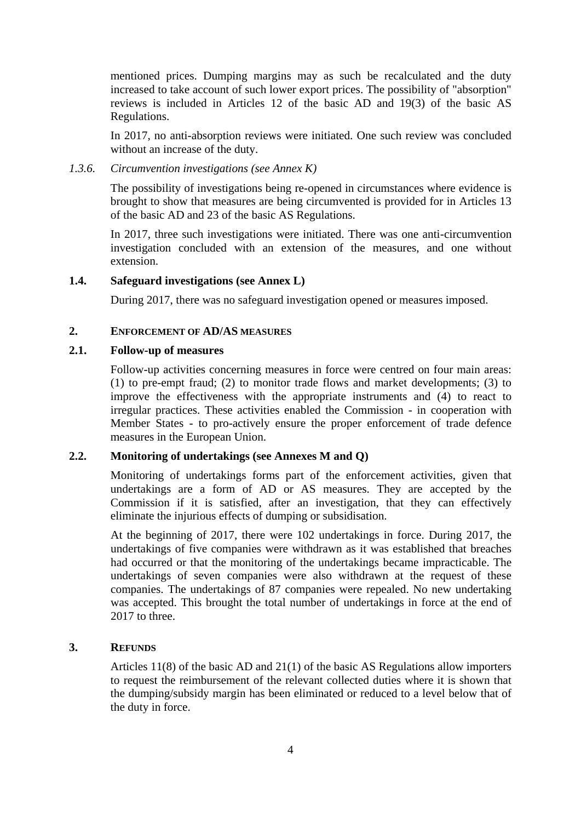mentioned prices. Dumping margins may as such be recalculated and the duty increased to take account of such lower export prices. The possibility of "absorption" reviews is included in Articles 12 of the basic AD and 19(3) of the basic AS Regulations.

In 2017, no anti-absorption reviews were initiated. One such review was concluded without an increase of the duty.

*1.3.6. Circumvention investigations (see Annex K)*

The possibility of investigations being re-opened in circumstances where evidence is brought to show that measures are being circumvented is provided for in Articles 13 of the basic AD and 23 of the basic AS Regulations.

In 2017, three such investigations were initiated. There was one anti-circumvention investigation concluded with an extension of the measures, and one without extension.

#### **1.4. Safeguard investigations (see Annex L)**

During 2017, there was no safeguard investigation opened or measures imposed.

#### **2. ENFORCEMENT OF AD/AS MEASURES**

#### **2.1. Follow-up of measures**

Follow-up activities concerning measures in force were centred on four main areas: (1) to pre-empt fraud; (2) to monitor trade flows and market developments; (3) to improve the effectiveness with the appropriate instruments and (4) to react to irregular practices. These activities enabled the Commission - in cooperation with Member States - to pro-actively ensure the proper enforcement of trade defence measures in the European Union.

### **2.2. Monitoring of undertakings (see Annexes M and Q)**

Monitoring of undertakings forms part of the enforcement activities, given that undertakings are a form of AD or AS measures. They are accepted by the Commission if it is satisfied, after an investigation, that they can effectively eliminate the injurious effects of dumping or subsidisation.

At the beginning of 2017, there were 102 undertakings in force. During 2017, the undertakings of five companies were withdrawn as it was established that breaches had occurred or that the monitoring of the undertakings became impracticable. The undertakings of seven companies were also withdrawn at the request of these companies. The undertakings of 87 companies were repealed. No new undertaking was accepted. This brought the total number of undertakings in force at the end of 2017 to three.

### **3. REFUNDS**

Articles 11(8) of the basic AD and 21(1) of the basic AS Regulations allow importers to request the reimbursement of the relevant collected duties where it is shown that the dumping/subsidy margin has been eliminated or reduced to a level below that of the duty in force.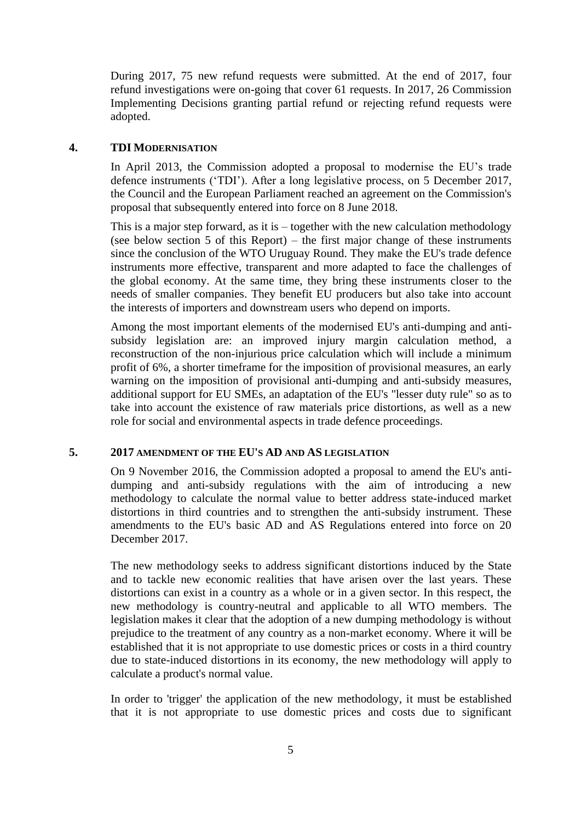During 2017, 75 new refund requests were submitted. At the end of 2017, four refund investigations were on-going that cover 61 requests. In 2017, 26 Commission Implementing Decisions granting partial refund or rejecting refund requests were adopted.

### **4. TDI MODERNISATION**

In April 2013, the Commission adopted a proposal to modernise the EU's trade defence instruments ('TDI'). After a long legislative process, on 5 December 2017, the Council and the European Parliament reached an agreement on the Commission's proposal that subsequently entered into force on 8 June 2018.

This is a major step forward, as it is – together with the new calculation methodology (see below section 5 of this Report) – the first major change of these instruments since the conclusion of the WTO Uruguay Round. They make the EU's trade defence instruments more effective, transparent and more adapted to face the challenges of the global economy. At the same time, they bring these instruments closer to the needs of smaller companies. They benefit EU producers but also take into account the interests of importers and downstream users who depend on imports.

Among the most important elements of the modernised EU's anti-dumping and antisubsidy legislation are: an improved injury margin calculation method, a reconstruction of the non-injurious price calculation which will include a minimum profit of 6%, a shorter timeframe for the imposition of provisional measures, an early warning on the imposition of provisional anti-dumping and anti-subsidy measures, additional support for EU SMEs, an adaptation of the EU's "lesser duty rule" so as to take into account the existence of raw materials price distortions, as well as a new role for social and environmental aspects in trade defence proceedings.

#### **5. 2017 AMENDMENT OF THE EU'S AD AND AS LEGISLATION**

On 9 November 2016, the Commission adopted a proposal to amend the EU's antidumping and anti-subsidy regulations with the aim of introducing a new methodology to calculate the normal value to better address state-induced market distortions in third countries and to strengthen the anti-subsidy instrument. These amendments to the EU's basic AD and AS Regulations entered into force on 20 December 2017.

The new methodology seeks to address significant distortions induced by the State and to tackle new economic realities that have arisen over the last years. These distortions can exist in a country as a whole or in a given sector. In this respect, the new methodology is country-neutral and applicable to all WTO members. The legislation makes it clear that the adoption of a new dumping methodology is without prejudice to the treatment of any country as a non-market economy. Where it will be established that it is not appropriate to use domestic prices or costs in a third country due to state-induced distortions in its economy, the new methodology will apply to calculate a product's normal value.

In order to 'trigger' the application of the new methodology, it must be established that it is not appropriate to use domestic prices and costs due to significant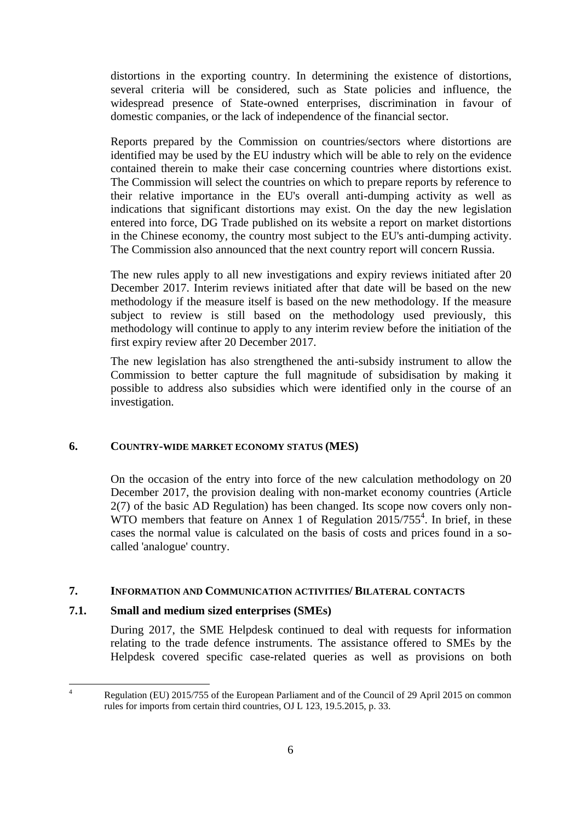distortions in the exporting country. In determining the existence of distortions, several criteria will be considered, such as State policies and influence, the widespread presence of State-owned enterprises, discrimination in favour of domestic companies, or the lack of independence of the financial sector.

Reports prepared by the Commission on countries/sectors where distortions are identified may be used by the EU industry which will be able to rely on the evidence contained therein to make their case concerning countries where distortions exist. The Commission will select the countries on which to prepare reports by reference to their relative importance in the EU's overall anti-dumping activity as well as indications that significant distortions may exist. On the day the new legislation entered into force, DG Trade published on its website a report on market distortions in the Chinese economy, the country most subject to the EU's anti-dumping activity. The Commission also announced that the next country report will concern Russia.

The new rules apply to all new investigations and expiry reviews initiated after 20 December 2017. Interim reviews initiated after that date will be based on the new methodology if the measure itself is based on the new methodology. If the measure subject to review is still based on the methodology used previously, this methodology will continue to apply to any interim review before the initiation of the first expiry review after 20 December 2017.

The new legislation has also strengthened the anti-subsidy instrument to allow the Commission to better capture the full magnitude of subsidisation by making it possible to address also subsidies which were identified only in the course of an investigation.

### **6. COUNTRY-WIDE MARKET ECONOMY STATUS (MES)**

On the occasion of the entry into force of the new calculation methodology on 20 December 2017, the provision dealing with non-market economy countries (Article 2(7) of the basic AD Regulation) has been changed. Its scope now covers only non-WTO members that feature on Annex 1 of Regulation  $2015/755^4$ . In brief, in these cases the normal value is calculated on the basis of costs and prices found in a socalled 'analogue' country.

### **7. INFORMATION AND COMMUNICATION ACTIVITIES/ BILATERAL CONTACTS**

### **7.1. Small and medium sized enterprises (SMEs)**

During 2017, the SME Helpdesk continued to deal with requests for information relating to the trade defence instruments. The assistance offered to SMEs by the Helpdesk covered specific case-related queries as well as provisions on both

 $\overline{4}$ Regulation (EU) 2015/755 of the European Parliament and of the Council of 29 April 2015 on common rules for imports from certain third countries, OJ L 123, 19.5.2015, p. 33.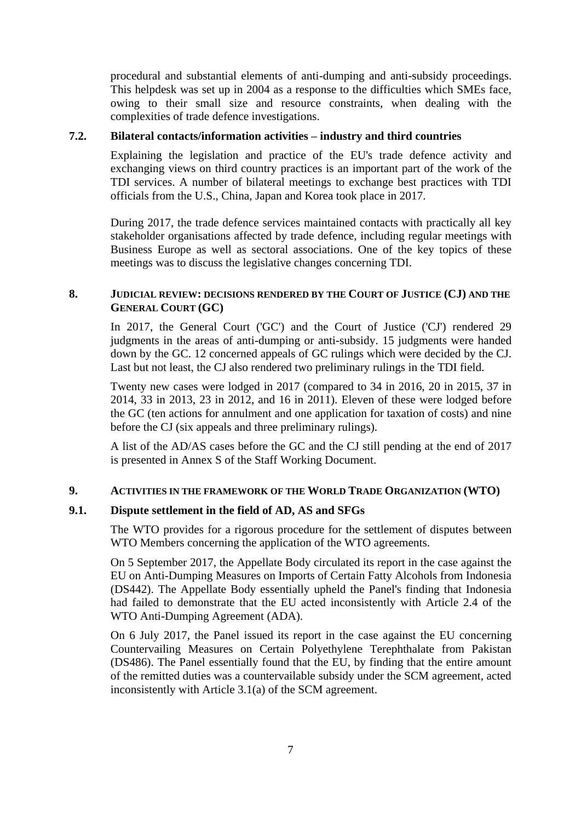procedural and substantial elements of anti-dumping and anti-subsidy proceedings. This helpdesk was set up in 2004 as a response to the difficulties which SMEs face, owing to their small size and resource constraints, when dealing with the complexities of trade defence investigations.

### **7.2. Bilateral contacts/information activities – industry and third countries**

Explaining the legislation and practice of the EU's trade defence activity and exchanging views on third country practices is an important part of the work of the TDI services. A number of bilateral meetings to exchange best practices with TDI officials from the U.S., China, Japan and Korea took place in 2017.

During 2017, the trade defence services maintained contacts with practically all key stakeholder organisations affected by trade defence, including regular meetings with Business Europe as well as sectoral associations. One of the key topics of these meetings was to discuss the legislative changes concerning TDI.

## **8. JUDICIAL REVIEW: DECISIONS RENDERED BY THE COURT OF JUSTICE (CJ) AND THE GENERAL COURT (GC)**

In 2017, the General Court ('GC') and the Court of Justice ('CJ') rendered 29 judgments in the areas of anti-dumping or anti-subsidy. 15 judgments were handed down by the GC. 12 concerned appeals of GC rulings which were decided by the CJ. Last but not least, the CJ also rendered two preliminary rulings in the TDI field.

Twenty new cases were lodged in 2017 (compared to 34 in 2016, 20 in 2015, 37 in 2014, 33 in 2013, 23 in 2012, and 16 in 2011). Eleven of these were lodged before the GC (ten actions for annulment and one application for taxation of costs) and nine before the CJ (six appeals and three preliminary rulings).

A list of the AD/AS cases before the GC and the CJ still pending at the end of 2017 is presented in Annex S of the Staff Working Document.

#### **9. ACTIVITIES IN THE FRAMEWORK OF THE WORLD TRADE ORGANIZATION (WTO)**

#### **9.1. Dispute settlement in the field of AD, AS and SFGs**

The WTO provides for a rigorous procedure for the settlement of disputes between WTO Members concerning the application of the WTO agreements.

On 5 September 2017, the Appellate Body circulated its report in the case against the EU on Anti-Dumping Measures on Imports of Certain Fatty Alcohols from Indonesia (DS442). The Appellate Body essentially upheld the Panel's finding that Indonesia had failed to demonstrate that the EU acted inconsistently with Article 2.4 of the WTO Anti-Dumping Agreement (ADA).

On 6 July 2017, the Panel issued its report in the case against the EU concerning Countervailing Measures on Certain Polyethylene Terephthalate from Pakistan (DS486). The Panel essentially found that the EU, by finding that the entire amount of the remitted duties was a countervailable subsidy under the SCM agreement, acted inconsistently with Article 3.1(a) of the SCM agreement.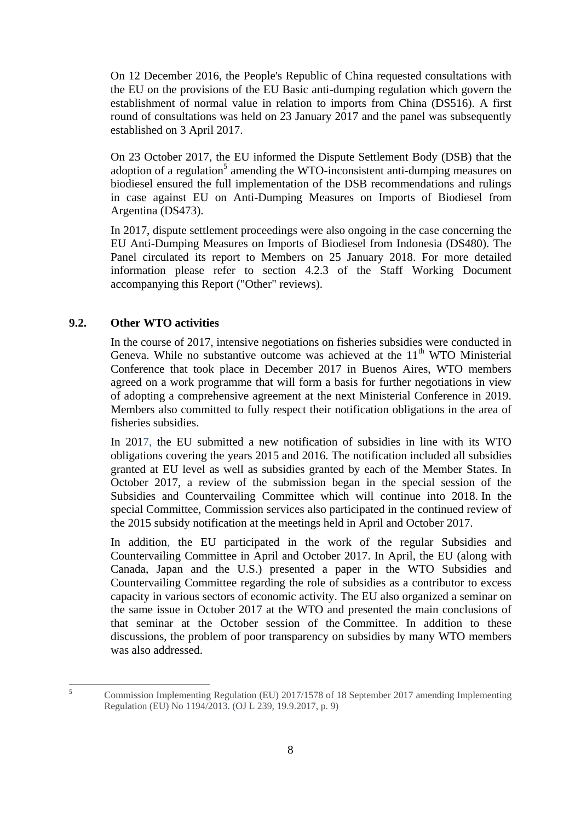On 12 December 2016, the People's Republic of China requested consultations with the EU on the provisions of the EU Basic anti-dumping regulation which govern the establishment of normal value in relation to imports from China (DS516). A first round of consultations was held on 23 January 2017 and the panel was subsequently established on 3 April 2017.

On 23 October 2017, the EU informed the Dispute Settlement Body (DSB) that the adoption of a regulation<sup>5</sup> amending the WTO-inconsistent anti-dumping measures on biodiesel ensured the full implementation of the DSB recommendations and rulings in case against EU on Anti-Dumping Measures on Imports of Biodiesel from Argentina (DS473).

In 2017, dispute settlement proceedings were also ongoing in the case concerning the EU Anti-Dumping Measures on Imports of Biodiesel from Indonesia (DS480). The Panel circulated its report to Members on 25 January 2018. For more detailed information please refer to section 4.2.3 of the Staff Working Document accompanying this Report ("Other" reviews).

# **9.2. Other WTO activities**

In the course of 2017, intensive negotiations on fisheries subsidies were conducted in Geneva. While no substantive outcome was achieved at the  $11<sup>th</sup>$  WTO Ministerial Conference that took place in December 2017 in Buenos Aires, WTO members agreed on a work programme that will form a basis for further negotiations in view of adopting a comprehensive agreement at the next Ministerial Conference in 2019. Members also committed to fully respect their notification obligations in the area of fisheries subsidies.

In 2017, the EU submitted a new notification of subsidies in line with its WTO obligations covering the years 2015 and 2016. The notification included all subsidies granted at EU level as well as subsidies granted by each of the Member States. In October 2017, a review of the submission began in the special session of the Subsidies and Countervailing Committee which will continue into 2018. In the special Committee, Commission services also participated in the continued review of the 2015 subsidy notification at the meetings held in April and October 2017.

In addition, the EU participated in the work of the regular Subsidies and Countervailing Committee in April and October 2017. In April, the EU (along with Canada, Japan and the U.S.) presented a paper in the WTO Subsidies and Countervailing Committee regarding the role of subsidies as a contributor to excess capacity in various sectors of economic activity. The EU also organized a seminar on the same issue in October 2017 at the WTO and presented the main conclusions of that seminar at the October session of the Committee. In addition to these discussions, the problem of poor transparency on subsidies by many WTO members was also addressed.

 $\overline{\mathbf{5}}$ <sup>5</sup> Commission Implementing Regulation (EU) 2017/1578 of 18 September 2017 amending Implementing Regulation (EU) No 1194/2013. (OJ L 239, 19.9.2017, p. 9)